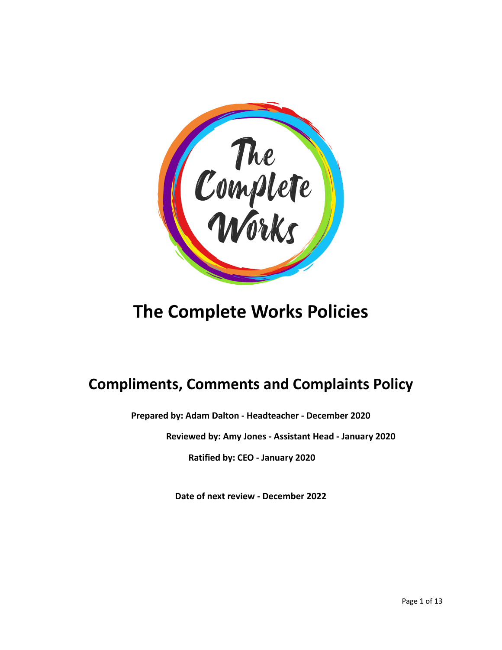

# **The Complete Works Policies**

# **Compliments, Comments and Complaints Policy**

**Prepared by: Adam Dalton - Headteacher - December 2020**

**Reviewed by: Amy Jones - Assistant Head - January 2020**

**Ratified by: CEO - January 2020**

**Date of next review - December 2022**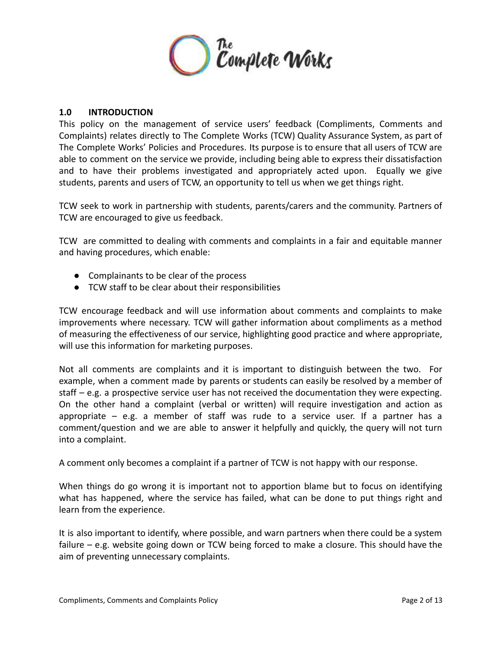

#### **1.0 INTRODUCTION**

This policy on the management of service users' feedback (Compliments, Comments and Complaints) relates directly to The Complete Works (TCW) Quality Assurance System, as part of The Complete Works' Policies and Procedures. Its purpose is to ensure that all users of TCW are able to comment on the service we provide, including being able to express their dissatisfaction and to have their problems investigated and appropriately acted upon. Equally we give students, parents and users of TCW, an opportunity to tell us when we get things right.

TCW seek to work in partnership with students, parents/carers and the community. Partners of TCW are encouraged to give us feedback.

TCW are committed to dealing with comments and complaints in a fair and equitable manner and having procedures, which enable:

- Complainants to be clear of the process
- TCW staff to be clear about their responsibilities

TCW encourage feedback and will use information about comments and complaints to make improvements where necessary. TCW will gather information about compliments as a method of measuring the effectiveness of our service, highlighting good practice and where appropriate, will use this information for marketing purposes.

Not all comments are complaints and it is important to distinguish between the two. For example, when a comment made by parents or students can easily be resolved by a member of staff – e.g. a prospective service user has not received the documentation they were expecting. On the other hand a complaint (verbal or written) will require investigation and action as appropriate – e.g. a member of staff was rude to a service user. If a partner has a comment/question and we are able to answer it helpfully and quickly, the query will not turn into a complaint.

A comment only becomes a complaint if a partner of TCW is not happy with our response.

When things do go wrong it is important not to apportion blame but to focus on identifying what has happened, where the service has failed, what can be done to put things right and learn from the experience.

It is also important to identify, where possible, and warn partners when there could be a system failure – e.g. website going down or TCW being forced to make a closure. This should have the aim of preventing unnecessary complaints.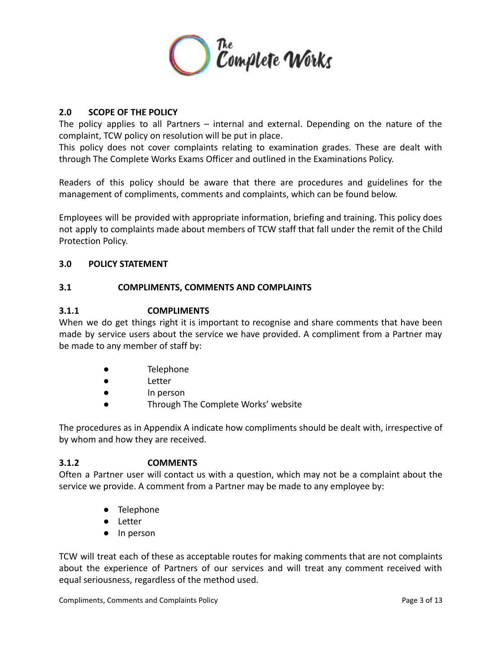

# **2.0 SCOPE OF THE POLICY**

The policy applies to all Partners – internal and external. Depending on the nature of the complaint, TCW policy on resolution will be put in place.

This policy does not cover complaints relating to examination grades. These are dealt with through The Complete Works Exams Officer and outlined in the Examinations Policy.

Readers of this policy should be aware that there are procedures and guidelines for the management of compliments, comments and complaints, which can be found below.

Employees will be provided with appropriate information, briefing and training. This policy does not apply to complaints made about members of TCW staff that fall under the remit of the Child Protection Policy.

# **3.0 POLICY STATEMENT**

#### **3.1 COMPLIMENTS, COMMENTS AND COMPLAINTS**

#### **3.1.1 COMPLIMENTS**

When we do get things right it is important to recognise and share comments that have been made by service users about the service we have provided. A compliment from a Partner may be made to any member of staff by:

- Telephone
- Letter
- In person
- Through The Complete Works' website

The procedures as in Appendix A indicate how compliments should be dealt with, irrespective of by whom and how they are received.

# **3.1.2 COMMENTS**

Often a Partner user will contact us with a question, which may not be a complaint about the service we provide. A comment from a Partner may be made to any employee by:

- Telephone
- Letter
- In person

TCW will treat each of these as acceptable routes for making comments that are not complaints about the experience of Partners of our services and will treat any comment received with equal seriousness, regardless of the method used.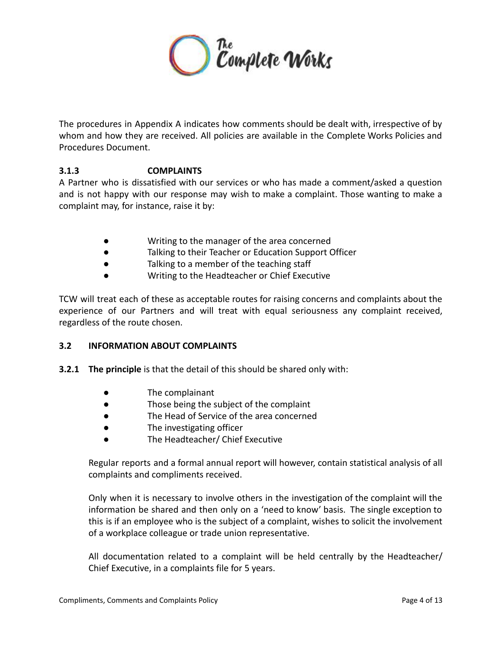

The procedures in Appendix A indicates how comments should be dealt with, irrespective of by whom and how they are received. All policies are available in the Complete Works Policies and Procedures Document.

# **3.1.3 COMPLAINTS**

A Partner who is dissatisfied with our services or who has made a comment/asked a question and is not happy with our response may wish to make a complaint. Those wanting to make a complaint may, for instance, raise it by:

- Writing to the manager of the area concerned
- Talking to their Teacher or Education Support Officer
- Talking to a member of the teaching staff
- Writing to the Headteacher or Chief Executive

TCW will treat each of these as acceptable routes for raising concerns and complaints about the experience of our Partners and will treat with equal seriousness any complaint received, regardless of the route chosen.

# **3.2 INFORMATION ABOUT COMPLAINTS**

- **3.2.1 The principle** is that the detail of this should be shared only with:
	- The complainant
	- Those being the subject of the complaint
	- The Head of Service of the area concerned
	- The investigating officer
	- The Headteacher/ Chief Executive

Regular reports and a formal annual report will however, contain statistical analysis of all complaints and compliments received.

Only when it is necessary to involve others in the investigation of the complaint will the information be shared and then only on a 'need to know' basis. The single exception to this is if an employee who is the subject of a complaint, wishes to solicit the involvement of a workplace colleague or trade union representative.

All documentation related to a complaint will be held centrally by the Headteacher/ Chief Executive, in a complaints file for 5 years.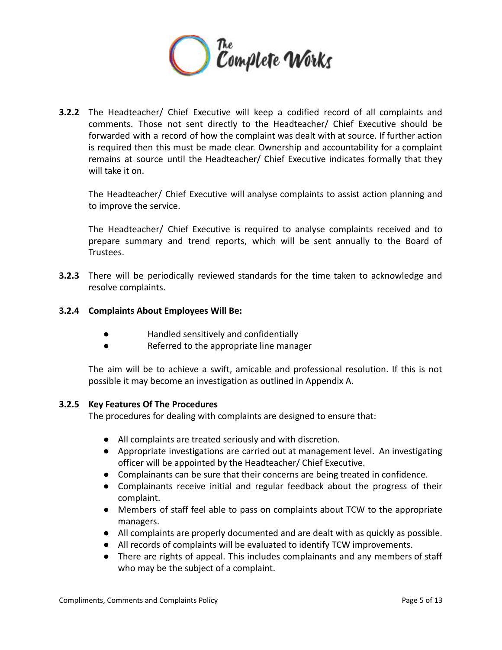

**3.2.2** The Headteacher/ Chief Executive will keep a codified record of all complaints and comments. Those not sent directly to the Headteacher/ Chief Executive should be forwarded with a record of how the complaint was dealt with at source. If further action is required then this must be made clear. Ownership and accountability for a complaint remains at source until the Headteacher/ Chief Executive indicates formally that they will take it on.

The Headteacher/ Chief Executive will analyse complaints to assist action planning and to improve the service.

The Headteacher/ Chief Executive is required to analyse complaints received and to prepare summary and trend reports, which will be sent annually to the Board of Trustees.

**3.2.3** There will be periodically reviewed standards for the time taken to acknowledge and resolve complaints.

#### **3.2.4 Complaints About Employees Will Be:**

- Handled sensitively and confidentially
- Referred to the appropriate line manager

The aim will be to achieve a swift, amicable and professional resolution. If this is not possible it may become an investigation as outlined in Appendix A.

#### **3.2.5 Key Features Of The Procedures**

The procedures for dealing with complaints are designed to ensure that:

- All complaints are treated seriously and with discretion.
- Appropriate investigations are carried out at management level. An investigating officer will be appointed by the Headteacher/ Chief Executive.
- Complainants can be sure that their concerns are being treated in confidence.
- Complainants receive initial and regular feedback about the progress of their complaint.
- Members of staff feel able to pass on complaints about TCW to the appropriate managers.
- All complaints are properly documented and are dealt with as quickly as possible.
- All records of complaints will be evaluated to identify TCW improvements.
- There are rights of appeal. This includes complainants and any members of staff who may be the subject of a complaint.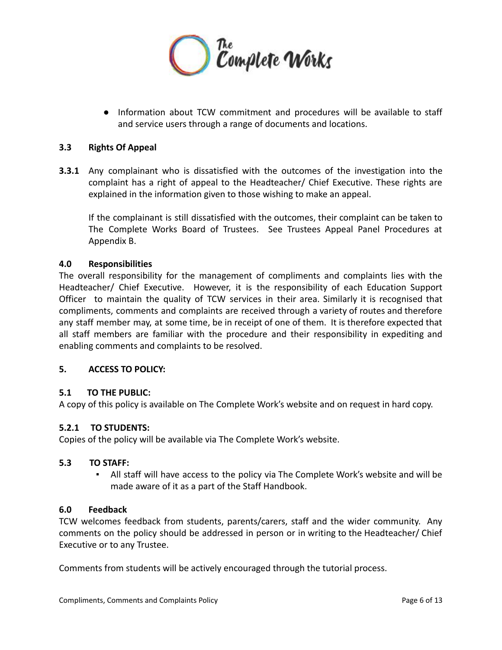

● Information about TCW commitment and procedures will be available to staff and service users through a range of documents and locations.

#### **3.3 Rights Of Appeal**

**3.3.1** Any complainant who is dissatisfied with the outcomes of the investigation into the complaint has a right of appeal to the Headteacher/ Chief Executive. These rights are explained in the information given to those wishing to make an appeal.

If the complainant is still dissatisfied with the outcomes, their complaint can be taken to The Complete Works Board of Trustees. See Trustees Appeal Panel Procedures at Appendix B.

#### **4.0 Responsibilities**

The overall responsibility for the management of compliments and complaints lies with the Headteacher/ Chief Executive. However, it is the responsibility of each Education Support Officer to maintain the quality of TCW services in their area. Similarly it is recognised that compliments, comments and complaints are received through a variety of routes and therefore any staff member may, at some time, be in receipt of one of them. It is therefore expected that all staff members are familiar with the procedure and their responsibility in expediting and enabling comments and complaints to be resolved.

#### **5. ACCESS TO POLICY:**

#### **5.1 TO THE PUBLIC:**

A copy of this policy is available on The Complete Work's website and on request in hard copy.

#### **5.2.1 TO STUDENTS:**

Copies of the policy will be available via The Complete Work's website.

#### **5.3 TO STAFF:**

All staff will have access to the policy via The Complete Work's website and will be made aware of it as a part of the Staff Handbook.

#### **6.0 Feedback**

TCW welcomes feedback from students, parents/carers, staff and the wider community. Any comments on the policy should be addressed in person or in writing to the Headteacher/ Chief Executive or to any Trustee.

Comments from students will be actively encouraged through the tutorial process.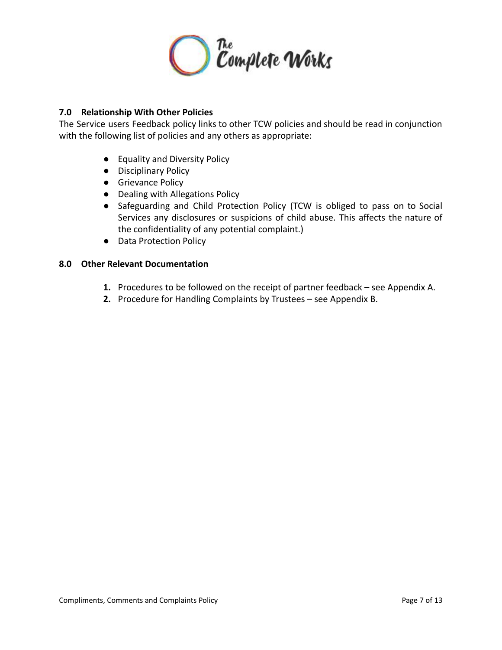

# **7.0 Relationship With Other Policies**

The Service users Feedback policy links to other TCW policies and should be read in conjunction with the following list of policies and any others as appropriate:

- Equality and Diversity Policy
- Disciplinary Policy
- **•** Grievance Policy
- Dealing with Allegations Policy
- Safeguarding and Child Protection Policy (TCW is obliged to pass on to Social Services any disclosures or suspicions of child abuse. This affects the nature of the confidentiality of any potential complaint.)
- Data Protection Policy

#### **8.0 Other Relevant Documentation**

- **1.** Procedures to be followed on the receipt of partner feedback see Appendix A.
- **2.** Procedure for Handling Complaints by Trustees see Appendix B.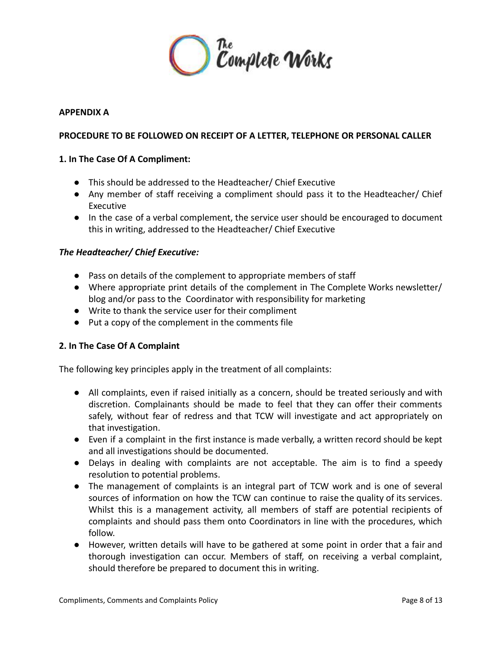

#### **APPENDIX A**

# **PROCEDURE TO BE FOLLOWED ON RECEIPT OF A LETTER, TELEPHONE OR PERSONAL CALLER**

#### **1. In The Case Of A Compliment:**

- This should be addressed to the Headteacher/ Chief Executive
- Any member of staff receiving a compliment should pass it to the Headteacher/ Chief Executive
- In the case of a verbal complement, the service user should be encouraged to document this in writing, addressed to the Headteacher/ Chief Executive

#### *The Headteacher/ Chief Executive:*

- **●** Pass on details of the complement to appropriate members of staff
- **●** Where appropriate print details of the complement in The Complete Works newsletter/ blog and/or pass to the Coordinator with responsibility for marketing
- **●** Write to thank the service user for their compliment
- **●** Put a copy of the complement in the comments file

# **2. In The Case Of A Complaint**

The following key principles apply in the treatment of all complaints:

- **●** All complaints, even if raised initially as a concern, should be treated seriously and with discretion. Complainants should be made to feel that they can offer their comments safely, without fear of redress and that TCW will investigate and act appropriately on that investigation.
- **●** Even if a complaint in the first instance is made verbally, a written record should be kept and all investigations should be documented.
- **●** Delays in dealing with complaints are not acceptable. The aim is to find a speedy resolution to potential problems.
- **●** The management of complaints is an integral part of TCW work and is one of several sources of information on how the TCW can continue to raise the quality of its services. Whilst this is a management activity, all members of staff are potential recipients of complaints and should pass them onto Coordinators in line with the procedures, which follow.
- **●** However, written details will have to be gathered at some point in order that a fair and thorough investigation can occur. Members of staff, on receiving a verbal complaint, should therefore be prepared to document this in writing.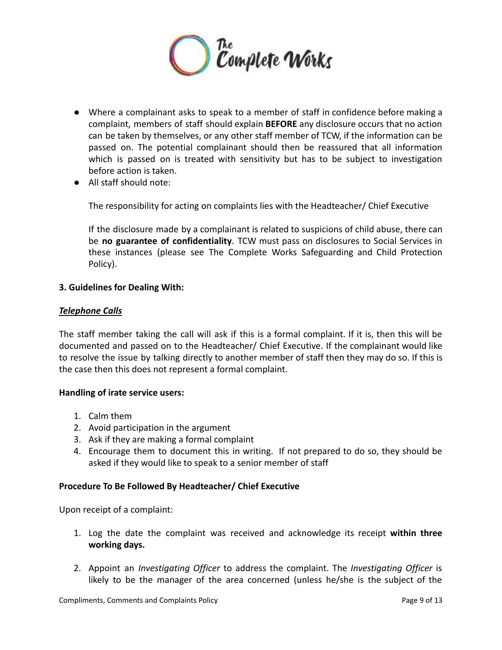

- **●** Where a complainant asks to speak to a member of staff in confidence before making a complaint, members of staff should explain **BEFORE** any disclosure occurs that no action can be taken by themselves, or any other staff member of TCW, if the information can be passed on. The potential complainant should then be reassured that all information which is passed on is treated with sensitivity but has to be subject to investigation before action is taken.
- **●** All staff should note:

The responsibility for acting on complaints lies with the Headteacher/ Chief Executive

If the disclosure made by a complainant is related to suspicions of child abuse, there can be **no guarantee of confidentiality**. TCW must pass on disclosures to Social Services in these instances (please see The Complete Works Safeguarding and Child Protection Policy).

#### **3. Guidelines for Dealing With:**

#### *Telephone Calls*

The staff member taking the call will ask if this is a formal complaint. If it is, then this will be documented and passed on to the Headteacher/ Chief Executive. If the complainant would like to resolve the issue by talking directly to another member of staff then they may do so. If this is the case then this does not represent a formal complaint.

#### **Handling of irate service users:**

- 1. Calm them
- 2. Avoid participation in the argument
- 3. Ask if they are making a formal complaint
- 4. Encourage them to document this in writing. If not prepared to do so, they should be asked if they would like to speak to a senior member of staff

#### **Procedure To Be Followed By Headteacher/ Chief Executive**

Upon receipt of a complaint:

- 1. Log the date the complaint was received and acknowledge its receipt **within three working days.**
- 2. Appoint an *Investigating Officer* to address the complaint. The *Investigating Officer* is likely to be the manager of the area concerned (unless he/she is the subject of the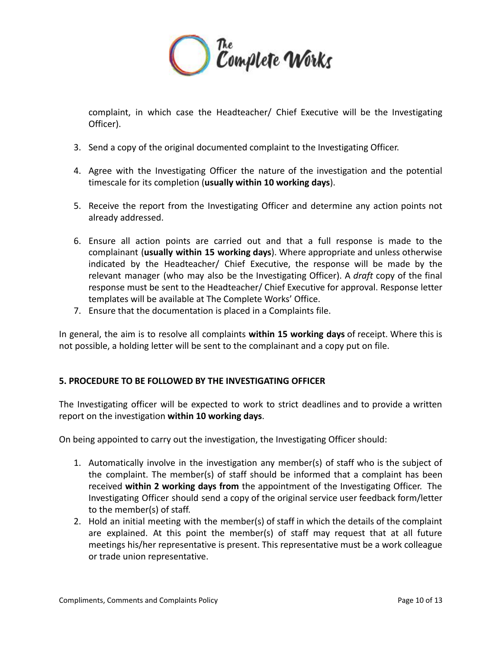

complaint, in which case the Headteacher/ Chief Executive will be the Investigating Officer).

- 3. Send a copy of the original documented complaint to the Investigating Officer.
- 4. Agree with the Investigating Officer the nature of the investigation and the potential timescale for its completion (**usually within 10 working days**).
- 5. Receive the report from the Investigating Officer and determine any action points not already addressed.
- 6. Ensure all action points are carried out and that a full response is made to the complainant (**usually within 15 working days**). Where appropriate and unless otherwise indicated by the Headteacher/ Chief Executive, the response will be made by the relevant manager (who may also be the Investigating Officer). A *draft* copy of the final response must be sent to the Headteacher/ Chief Executive for approval. Response letter templates will be available at The Complete Works' Office.
- 7. Ensure that the documentation is placed in a Complaints file.

In general, the aim is to resolve all complaints **within 15 working days** of receipt. Where this is not possible, a holding letter will be sent to the complainant and a copy put on file.

# **5. PROCEDURE TO BE FOLLOWED BY THE INVESTIGATING OFFICER**

The Investigating officer will be expected to work to strict deadlines and to provide a written report on the investigation **within 10 working days**.

On being appointed to carry out the investigation, the Investigating Officer should:

- 1. Automatically involve in the investigation any member(s) of staff who is the subject of the complaint. The member(s) of staff should be informed that a complaint has been received **within 2 working days from** the appointment of the Investigating Officer. The Investigating Officer should send a copy of the original service user feedback form/letter to the member(s) of staff.
- 2. Hold an initial meeting with the member(s) of staff in which the details of the complaint are explained. At this point the member(s) of staff may request that at all future meetings his/her representative is present. This representative must be a work colleague or trade union representative.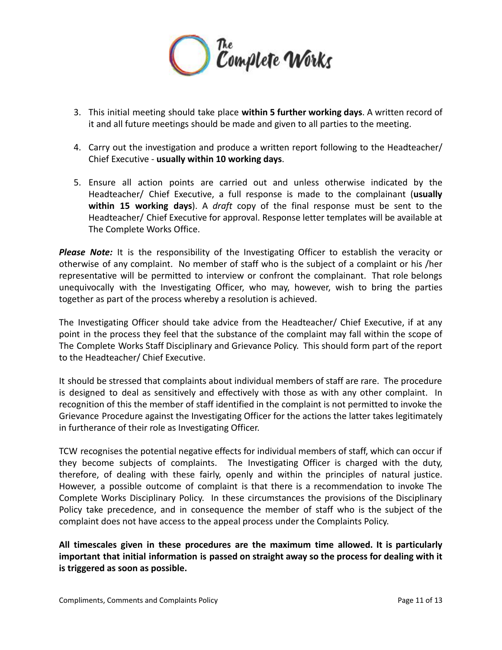

- 3. This initial meeting should take place **within 5 further working days**. A written record of it and all future meetings should be made and given to all parties to the meeting.
- 4. Carry out the investigation and produce a written report following to the Headteacher/ Chief Executive - **usually within 10 working days**.
- 5. Ensure all action points are carried out and unless otherwise indicated by the Headteacher/ Chief Executive, a full response is made to the complainant (**usually within 15 working days**). A *draft* copy of the final response must be sent to the Headteacher/ Chief Executive for approval. Response letter templates will be available at The Complete Works Office.

*Please Note:* It is the responsibility of the Investigating Officer to establish the veracity or otherwise of any complaint. No member of staff who is the subject of a complaint or his /her representative will be permitted to interview or confront the complainant. That role belongs unequivocally with the Investigating Officer, who may, however, wish to bring the parties together as part of the process whereby a resolution is achieved.

The Investigating Officer should take advice from the Headteacher/ Chief Executive, if at any point in the process they feel that the substance of the complaint may fall within the scope of The Complete Works Staff Disciplinary and Grievance Policy. This should form part of the report to the Headteacher/ Chief Executive.

It should be stressed that complaints about individual members of staff are rare. The procedure is designed to deal as sensitively and effectively with those as with any other complaint. In recognition of this the member of staff identified in the complaint is not permitted to invoke the Grievance Procedure against the Investigating Officer for the actions the latter takes legitimately in furtherance of their role as Investigating Officer.

TCW recognises the potential negative effects for individual members of staff, which can occur if they become subjects of complaints. The Investigating Officer is charged with the duty, therefore, of dealing with these fairly, openly and within the principles of natural justice. However, a possible outcome of complaint is that there is a recommendation to invoke The Complete Works Disciplinary Policy. In these circumstances the provisions of the Disciplinary Policy take precedence, and in consequence the member of staff who is the subject of the complaint does not have access to the appeal process under the Complaints Policy.

**All timescales given in these procedures are the maximum time allowed. It is particularly important that initial information is passed on straight away so the process for dealing with it is triggered as soon as possible.**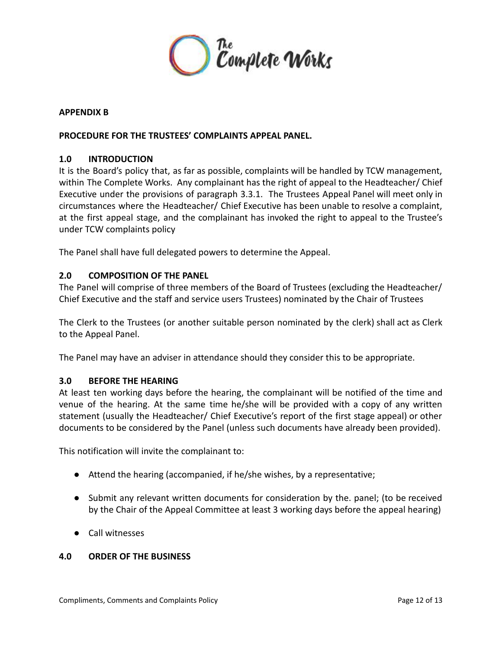

#### **APPENDIX B**

#### **PROCEDURE FOR THE TRUSTEES' COMPLAINTS APPEAL PANEL.**

#### **1.0 INTRODUCTION**

It is the Board's policy that, as far as possible, complaints will be handled by TCW management, within The Complete Works. Any complainant has the right of appeal to the Headteacher/ Chief Executive under the provisions of paragraph 3.3.1. The Trustees Appeal Panel will meet only in circumstances where the Headteacher/ Chief Executive has been unable to resolve a complaint, at the first appeal stage, and the complainant has invoked the right to appeal to the Trustee's under TCW complaints policy

The Panel shall have full delegated powers to determine the Appeal.

#### **2.0 COMPOSITION OF THE PANEL**

The Panel will comprise of three members of the Board of Trustees (excluding the Headteacher/ Chief Executive and the staff and service users Trustees) nominated by the Chair of Trustees

The Clerk to the Trustees (or another suitable person nominated by the clerk) shall act as Clerk to the Appeal Panel.

The Panel may have an adviser in attendance should they consider this to be appropriate.

#### **3.0 BEFORE THE HEARING**

At least ten working days before the hearing, the complainant will be notified of the time and venue of the hearing. At the same time he/she will be provided with a copy of any written statement (usually the Headteacher/ Chief Executive's report of the first stage appeal) or other documents to be considered by the Panel (unless such documents have already been provided).

This notification will invite the complainant to:

- Attend the hearing (accompanied, if he/she wishes, by a representative;
- Submit any relevant written documents for consideration by the. panel; (to be received by the Chair of the Appeal Committee at least 3 working days before the appeal hearing)
- Call witnesses

#### **4.0 ORDER OF THE BUSINESS**